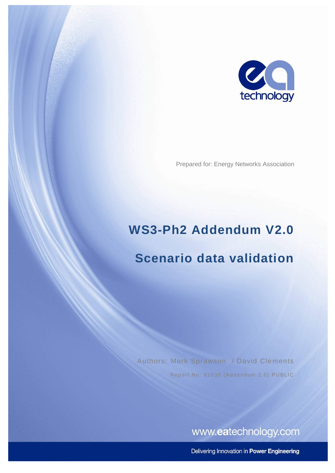

Prepared for: Energy Networks Association

# **WS3-Ph2 Addendum V2.0**

## **Scenario data validation**

Authors: Mark Sprawson / David Clements Report No: 82530 (Addendum 2.0) PUBLIC

www.eatechnology.com

Delivering Innovation in Power Engineering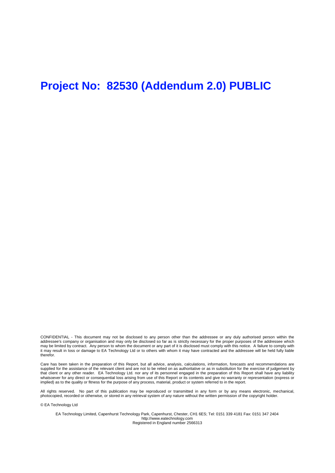### **Project No: 82530 (Addendum 2.0) PUBLIC**

CONFIDENTIAL - This document may not be disclosed to any person other than the addressee or any duly authorised person within the addressee's company or organisation and may only be disclosed so far as is strictly necessary for the proper purposes of the addressee which may be limited by contract. Any person to whom the document or any part of it is disclosed must comply with this notice. A failure to comply with it may result in loss or damage to EA Technology Ltd or to others with whom it may have contracted and the addressee will be held fully liable therefor.

Care has been taken in the preparation of this Report, but all advice, analysis, calculations, information, forecasts and recommendations are supplied for the assistance of the relevant client and are not to be relied on as authoritative or as in substitution for the exercise of judgement by that client or any other reader. EA Technology Ltd. nor any of its personnel engaged in the preparation of this Report shall have any liability whatsoever for any direct or consequential loss arising from use of this Report or its contents and give no warranty or representation (express or implied) as to the quality or fitness for the purpose of any process, material, product or system referred to in the report.

All rights reserved. No part of this publication may be reproduced or transmitted in any form or by any means electronic, mechanical, photocopied, recorded or otherwise, or stored in any retrieval system of any nature without the written permission of the copyright holder.

© EA Technology Ltd

EA Technology Limited, Capenhurst Technology Park, Capenhurst, Chester, CH1 6ES; Tel: 0151 339 4181 Fax: 0151 347 2404 http://www.eatechnology.com Registered in England number 2566313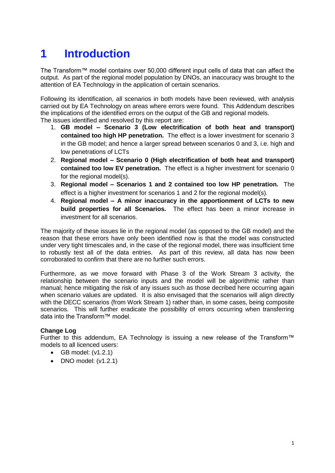### **1 Introduction**

The Transform™ model contains over 50,000 different input cells of data that can affect the output. As part of the regional model population by DNOs, an inaccuracy was brought to the attention of EA Technology in the application of certain scenarios.

Following its identification, all scenarios in both models have been reviewed, with analysis carried out by EA Technology on areas where errors were found. This Addendum describes the implications of the identified errors on the output of the GB and regional models. The issues identified and resolved by this report are:

- 1. **GB model – Scenario 3 (Low electrification of both heat and transport) contained too high HP penetration.** The effect is a lower investment for scenario 3 in the GB model; and hence a larger spread between scenarios 0 and 3, i.e. high and low penetrations of LCTs
- 2. **Regional model – Scenario 0 (High electrification of both heat and transport) contained too low EV penetration.** The effect is a higher investment for scenario 0 for the regional model(s).
- 3. **Regional model – Scenarios 1 and 2 contained too low HP penetration.** The effect is a higher investment for scenarios 1 and 2 for the regional model(s).
- 4. **Regional model – A minor inaccuracy in the apportionment of LCTs to new build properties for all Scenarios.** The effect has been a minor increase in investment for all scenarios.

The majority of these issues lie in the regional model (as opposed to the GB model) and the reason that these errors have only been identified now is that the model was constructed under very tight timescales and, in the case of the regional model, there was insufficient time to robustly test all of the data entries. As part of this review, all data has now been corroborated to confirm that there are no further such errors.

Furthermore, as we move forward with Phase 3 of the Work Stream 3 activity, the relationship between the scenario inputs and the model will be algorithmic rather than manual; hence mitigating the risk of any issues such as those decribed here occurring again when scenario values are updated. It is also envisaged that the scenarios will align directly with the DECC scenarios (from Work Stream 1) rather than, in some cases, being composite scenarios. This will further eradicate the possibility of errors occurring when transferring data into the Transform™ model.

#### **Change Log**

Further to this addendum, EA Technology is issuing a new release of the Transform™ models to all licenced users:

- $\bullet$  GB model:  $(v1.2.1)$
- $\bullet$  DNO model: (v1.2.1)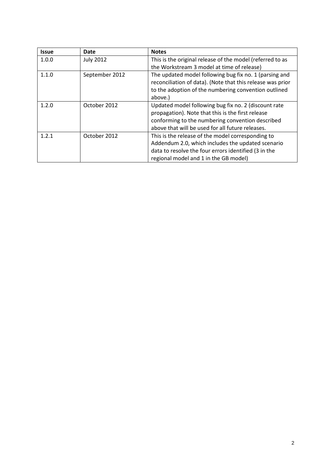| <b>Issue</b> | Date             | <b>Notes</b>                                               |
|--------------|------------------|------------------------------------------------------------|
| 1.0.0        | <b>July 2012</b> | This is the original release of the model (referred to as  |
|              |                  | the Workstream 3 model at time of release)                 |
| 1.1.0        | September 2012   | The updated model following bug fix no. 1 (parsing and     |
|              |                  | reconciliation of data). (Note that this release was prior |
|              |                  | to the adoption of the numbering convention outlined       |
|              |                  | above.)                                                    |
| 1.2.0        | October 2012     | Updated model following bug fix no. 2 (discount rate       |
|              |                  | propagation). Note that this is the first release          |
|              |                  | conforming to the numbering convention described           |
|              |                  | above that will be used for all future releases.           |
| 1.2.1        | October 2012     | This is the release of the model corresponding to          |
|              |                  | Addendum 2.0, which includes the updated scenario          |
|              |                  | data to resolve the four errors identified (3 in the       |
|              |                  | regional model and 1 in the GB model)                      |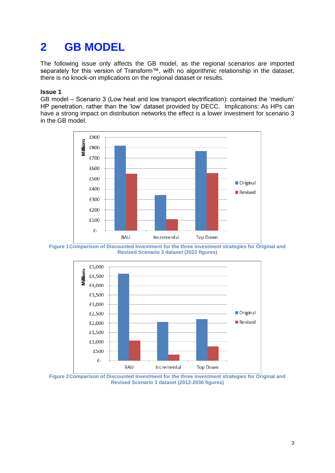### **2 GB MODEL**

The following issue only affects the GB model, as the regional scenarios are imported separately for this version of Transform™, with no algorithmic relationship in the dataset. there is no knock-on implications on the regional dataset or results.

#### **Issue 1**

GB model – Scenario 3 (Low heat and low transport electrification): contained the 'medium' HP penetration, rather than the 'low' dataset provided by DECC. Implications: As HPs can have a strong impact on distribution networks the effect is a lower investment for scenario 3 in the GB model.







**Figure 2Comparison of Discounted Investment for the three investment strategies for Original and Revised Scenario 3 dataset (2012-2030 figures)**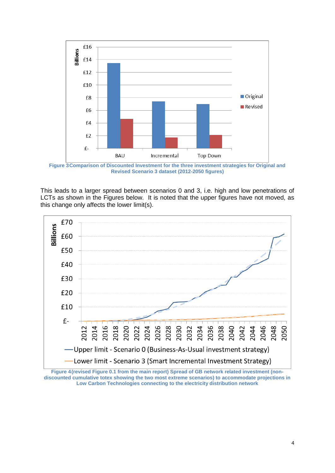

**Figure 3Comparison of Discounted Investment for the three investment strategies for Original and Revised Scenario 3 dataset (2012-2050 figures)**

This leads to a larger spread between scenarios 0 and 3, i.e. high and low penetrations of LCTs as shown in the Figures below. It is noted that the upper figures have not moved, as this change only affects the lower limit(s).



**Figure 4(revised Figure 0.1 from the main report) Spread of GB network related investment (nondiscounted cumulative totex showing the two most extreme scenarios) to accommodate projections in Low Carbon Technologies connecting to the electricity distribution network**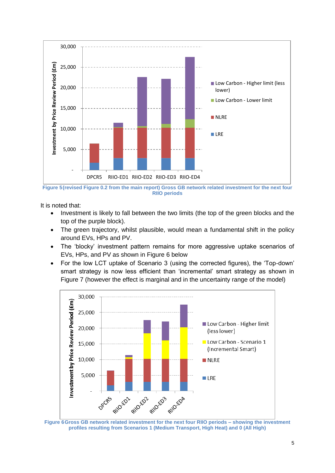

**Figure 5(revised Figure 0.2 from the main report) Gross GB network related investment for the next four RIIO periods**

It is noted that:

- Investment is likely to fall between the two limits (the top of the green blocks and the top of the purple block).
- The green trajectory, whilst plausible, would mean a fundamental shift in the policy around EVs, HPs and PV.
- The 'blocky' investment pattern remains for more aggressive uptake scenarios of EVs, HPs, and PV as shown in [Figure 6](#page-6-0) below
- For the low LCT uptake of Scenario 3 (using the corrected figures), the 'Top-down' smart strategy is now less efficient than 'incremental' smart strategy as shown in [Figure 7](#page-7-0) (however the effect is marginal and in the uncertainty range of the model)



<span id="page-6-0"></span>**Figure 6Gross GB network related investment for the next four RIIO periods – showing the investment profiles resulting from Scenarios 1 (Medium Transport, High Heat) and 0 (All High)**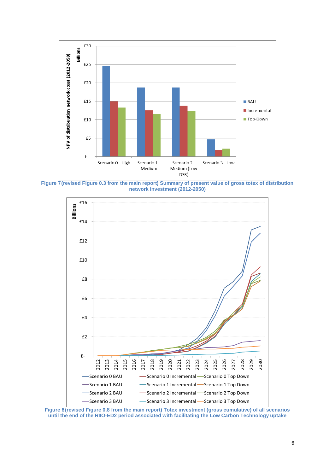

<span id="page-7-0"></span>**Figure 7(revised Figure 0.3 from the main report) Summary of present value of gross totex of distribution network investment (2012-2050)**



**Figure 8(revised Figure 0.8 from the main report) Totex investment (gross cumulative) of all scenarios until the end of the RIIO-ED2 period associated with facilitating the Low Carbon Technology uptake**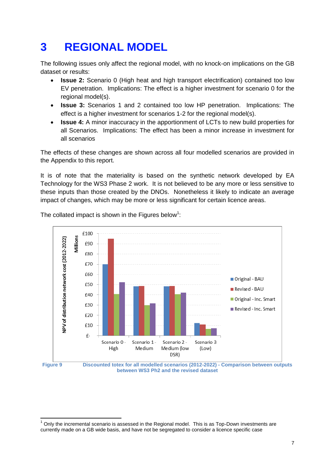### **3 REGIONAL MODEL**

The following issues only affect the regional model, with no knock-on implications on the GB dataset or results:

- **Issue 2:** Scenario 0 (High heat and high transport electrification) contained too low EV penetration. Implications: The effect is a higher investment for scenario 0 for the regional model(s).
- **Issue 3:** Scenarios 1 and 2 contained too low HP penetration. Implications: The effect is a higher investment for scenarios 1-2 for the regional model(s).
- **Issue 4:** A minor inaccuracy in the apportionment of LCTs to new build properties for all Scenarios. Implications: The effect has been a minor increase in investment for all scenarios

The effects of these changes are shown across all four modelled scenarios are provided in the Appendix to this report.

It is of note that the materiality is based on the synthetic network developed by EA Technology for the WS3 Phase 2 work. It is not believed to be any more or less sensitive to these inputs than those created by the DNOs. Nonetheless it likely to indicate an average impact of changes, which may be more or less significant for certain licence areas.



The collated impact is shown in the Figures below<sup>1</sup>:

 $\overline{1}$ 

**between WS3 Ph2 and the revised dataset**

 $1$  Only the incremental scenario is assessed in the Regional model. This is as Top-Down investments are currently made on a GB wide basis, and have not be segregated to consider a licence specific case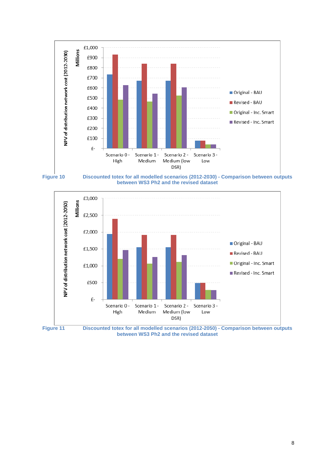







**Figure 11 Discounted totex for all modelled scenarios (2012-2050) - Comparison between outputs between WS3 Ph2 and the revised dataset**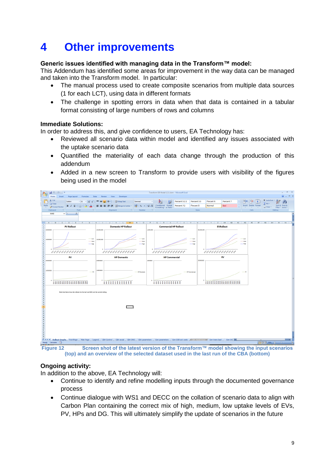### **4 Other improvements**

#### **Generic issues identified with managing data in the Transform™ model:**

This Addendum has identified some areas for improvement in the way data can be managed and taken into the Transform model. In particular:

- The manual process used to create composite scenarios from multiple data sources (1 for each LCT), using data in different formats
- The challenge in spotting errors in data when that data is contained in a tabular format consisting of large numbers of rows and columns

#### **Immediate Solutions:**

In order to address this, and give confidence to users, EA Technology has:

- Reviewed all scenario data within model and identified any issues associated with the uptake scenario data
- Quantified the materiality of each data change through the production of this addendum
- Added in a new screen to Transform to provide users with visibility of the figures being used in the model



**(top) and an overview of the selected dataset used in the last run of the CBA (bottom)**

#### **Ongoing activity:**

In addition to the above, EA Technology will:

- Continue to identify and refine modelling inputs through the documented governance process
- Continue dialogue with WS1 and DECC on the collation of scenario data to align with Carbon Plan containing the correct mix of high, medium, low uptake levels of EVs, PV, HPs and DG. This will ultimately simplify the update of scenarios in the future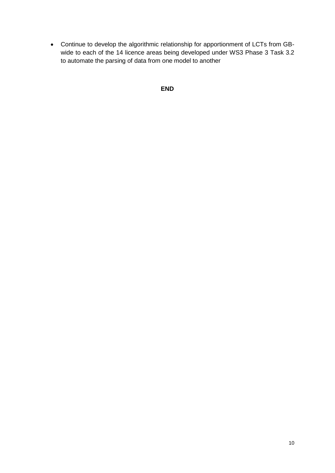Continue to develop the algorithmic relationship for apportionment of LCTs from GBwide to each of the 14 licence areas being developed under WS3 Phase 3 Task 3.2 to automate the parsing of data from one model to another

```
END
```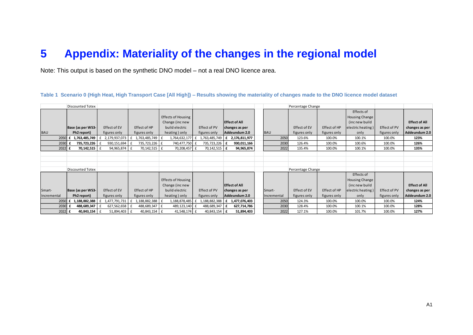### **5 Appendix: Materiality of the changes in the regional model**

Note: This output is based on the synthetic DNO model – not a real DNO licence area.

**Table 1 Scenario 0 (High Heat, High Transport Case [All High]) – Results showing the materiality of changes made to the DNO licence model dataset**

|                  | <b>Discounted Totex</b> |                   |                 |                           |                       |                                        |             | Percentage Change |              |                   |              |                      |
|------------------|-------------------------|-------------------|-----------------|---------------------------|-----------------------|----------------------------------------|-------------|-------------------|--------------|-------------------|--------------|----------------------|
|                  |                         |                   |                 |                           |                       |                                        |             |                   |              | Effects of        |              |                      |
|                  |                         |                   |                 | <b>Effects of Housing</b> |                       |                                        |             |                   |              | Housing Change    |              |                      |
|                  |                         |                   |                 | Change (inc new           |                       | <b>Effect of All</b>                   |             |                   |              | (inc new build)   |              | <b>Effect of All</b> |
|                  | Base (as per WS3-       | Effect of EV      | Effect of HP    | build electric            | Effect of PV          | changes as per                         |             | Effect of EV      | Effect of HP | electric heating) | Effect of PV | changes as per       |
| <b>BAU</b>       | Ph2 report)             | figures only      | figures only    | heating) only             | figures only          | Addeundum 2.0                          | <b>BAU</b>  | figures only      | figures only | only              | figures only | Addeundum 2.0        |
| 2050 $\mathbf f$ | 1,763,485,749           | 2,179,937,073 £   | 1,763,485,749 £ | 1,764,632,177 £           |                       | 1,763,485,749   <b>£ 2,176,811,977</b> | 2050        | 123.6%            | 100.0%       | 100.1%            | 100.0%       | 123%                 |
| 2030             | 735,723,226             | 930,151,694       | 735,723,226 £   | 740,477,750 £             | 735,723,226 £         | 930,011,166                            | 2030        | 126.4%            | 100.0%       | 100.6%            | 100.0%       | 126%                 |
| 2022 £           | 70,142,515              | 94,965,874        | 70,142,515      | 70,208,457 £<br>£         | $70,142,515$ <b>f</b> | 94,965,874                             | 2022        | 135.4%            | 100.0%       | 100.1%            | 100.0%       | 135%                 |
|                  |                         |                   |                 |                           |                       |                                        |             |                   |              |                   |              |                      |
|                  |                         |                   |                 |                           |                       |                                        |             |                   |              |                   |              |                      |
|                  |                         |                   |                 |                           |                       |                                        |             |                   |              |                   |              |                      |
|                  | <b>Discounted Totex</b> |                   |                 |                           |                       |                                        |             | Percentage Change |              |                   |              |                      |
|                  |                         |                   |                 |                           |                       |                                        |             |                   |              | Effects of        |              |                      |
|                  |                         |                   |                 | <b>Effects of Housing</b> |                       |                                        |             |                   |              | Housing Change    |              |                      |
|                  |                         |                   |                 | Change (inc new           |                       | <b>Effect of All</b>                   |             |                   |              | (inc new build    |              | <b>Effect of All</b> |
| Smart-           | Base (as per WS3-       | Effect of EV      | Effect of HP    | build electric            | Effect of PV          | changes as per                         | Smart-      | Effect of EV      | Effect of HP | electric heating) | Effect of PV | changes as per       |
| Incremental      | Ph2 report)             | figures only      | figures only    | heating) only             | figures only          | Addeundum 2.0                          | Incremental | figures only      | figures only | only              | figures only | Addeundum 2.0        |
| 2050             | 1,188,882,388           | 1,477,791,731     | 1,188,882,388   | 1,188,878,485<br>£        | 1,188,882,388 £       | 1,477,076,403                          | 2050        | 124.3%            | 100.0%       | 100.0%            | 100.0%       | 124%                 |
| 2030             | 488,689,347             | 627,562,658       | 488,689,347     | 489,123,140 f<br>£        | 488,689,347 E         | 627,714,786                            | 2030        | 128.4%            | 100.0%       | 100.1%            | 100.0%       | 128%                 |
| $2022$ £         | 40,843,154              | 51,894,403 £<br>f | 40,843,154      | 41,548,174 £<br>£         | 40,843,154 £          | 51,894,403                             | 2022        | 127.1%            | 100.0%       | 101.7%            | 100.0%       | 127%                 |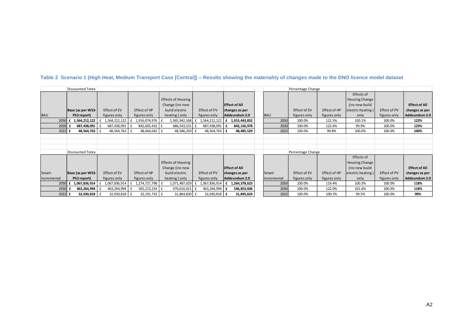|             | Discounted Totex        |                      |                 |                           |                          |                      |             | Percentage Change |              |                   |              |                      |
|-------------|-------------------------|----------------------|-----------------|---------------------------|--------------------------|----------------------|-------------|-------------------|--------------|-------------------|--------------|----------------------|
|             |                         |                      |                 |                           |                          |                      |             |                   |              | Effects of        |              |                      |
|             |                         |                      |                 | Effects of Housing        |                          |                      |             |                   |              | Housing Change    |              |                      |
|             |                         |                      |                 | Change (inc new           |                          | <b>Effect of All</b> |             |                   |              | (inc new build    |              | <b>Effect of All</b> |
|             | Base (as per WS3-       | Effect of EV         | Effect of HP    | build electric            | Effect of PV             | changes as per       |             | Effect of EV      | Effect of HP | electric heating) | Effect of PV | changes as per       |
| <b>BAU</b>  | Ph2 report)             | figures only         | figures only    | heating) only             | figures only             | Addeundum 2.0        | <b>BAU</b>  | figures only      | figures only | only              | figures only | Addeundum 2.0        |
| 2050        | 1,564,212,122<br>. £    | £<br>1,564,212,122 £ | 1,916,074,976 £ | 1,565,942,168             | 1,564,212,122 £          | 1,915,443,832        | 2050        | 100.0%            | 122.5%       | 100.1%            | 100.0%       | 122%                 |
| 2030        | 687,438,091             | 687,438,091          | 842,605,432     | 686,543,531               | 687,438,091 £            | 842,156,978          | 2030        | 100.0%            | 122.6%       | 99.9%             | 100.0%       | 123%                 |
| 2022        | 48,564,763 £<br>£       | 48,564,763 £         | 48,464,042      | 48,586,250<br>l £         | 48,564,763 £             | 48,485,529           | 2022        | 100.0%            | 99.8%        | 100.0%            | 100.0%       | 100%                 |
|             |                         |                      |                 |                           |                          |                      |             |                   |              |                   |              |                      |
|             |                         |                      |                 |                           |                          |                      |             |                   |              |                   |              |                      |
|             |                         |                      |                 |                           |                          |                      |             |                   |              |                   |              |                      |
|             | <b>Discounted Totex</b> |                      |                 |                           |                          |                      |             | Percentage Change |              |                   |              |                      |
|             |                         |                      |                 |                           |                          |                      |             |                   |              | Effects of        |              |                      |
|             |                         |                      |                 | <b>Effects of Housing</b> |                          |                      |             |                   |              | Housing Change    |              |                      |
|             |                         |                      |                 | Change (inc new           |                          | <b>Effect of All</b> |             |                   |              | (inc new build    |              | <b>Effect of All</b> |
| Smart-      | Base (as per WS3-       | Effect of EV         | Effect of HP    | build electric            | Effect of PV             | changes as per       | Smart-      | Effect of EV      | Effect of HP | electric heating) | Effect of PV | changes as per       |
| Incremental | Ph2 report)             | figures only         | figures only    | heating) only             | figures only             | Addeundum 2.0        | Incremental | figures only      | figures only | only              | figures only | Addeundum 2.0        |
| 2050        | 1,067,836,914           | 1,067,836,914        | 1,274,727,798   | 1,071,487,029             | $1,067,836,914$ <b>f</b> | 1,264,378,623        | 2050        | 100.0%            | 119.4%       | 100.3%            | 100.0%       | 118%                 |
| 2030        | 463,264,994             | 463,264,994          | 565,213,154     | 470,610,421<br>ΙŁ         | 463,264,994 £            | 546,853,606          | 2030        | 100.0%            | 122.0%       | 101.6%            | 100.0%       | 118%                 |
| 2022 £      | 32,030,818 f            | 32,030,818 f         | 32,191,733 E    | 31,864,830 £              | 32,030,818 E             | 31,845,624           | 2022        | 100.0%            | 100.5%       | 99.5%             | 100.0%       | 99%                  |

**Table 2 Scenario 1 (High Heat, Medium Transport Case [Central]) – Results showing the materiality of changes made to the DNO licence model dataset**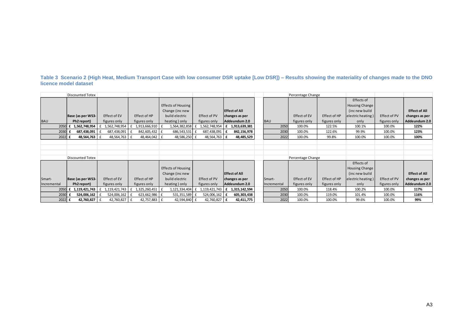#### **Table 3 Scenario 2 (High Heat, Medium Transport Case with low consumer DSR uptake [Low DSR]) – Results showing the materiality of changes made to the DNO licence model dataset**

|             | Discounted Totex        |                   |                 |                           |                          |                      |             | Percentage Change |              |                   |              |                      |
|-------------|-------------------------|-------------------|-----------------|---------------------------|--------------------------|----------------------|-------------|-------------------|--------------|-------------------|--------------|----------------------|
|             |                         |                   |                 |                           |                          |                      |             |                   |              | Effects of        |              |                      |
|             |                         |                   |                 | <b>Effects of Housing</b> |                          |                      |             |                   |              | Housing Change    |              |                      |
|             |                         |                   |                 | Change (inc new           |                          | <b>Effect of All</b> |             |                   |              | (inc new build    |              | <b>Effect of All</b> |
|             | Base (as per WS3-       | Effect of EV      | Effect of HP    | build electric            | Effect of PV             | changes as per       |             | Effect of EV      | Effect of HP | electric heating) | Effect of PV | changes as per       |
| <b>BAU</b>  | Ph2 report)             | figures only      | figures only    | heating) only             | figures only             | Addeundum 2.0        | <b>BAU</b>  | figures only      | figures only | only              | figures only | Addeundum 2.0        |
| 2050        | £ 1,562,748,954         | 1,562,748,954     | 1,913,666,910 £ | 1,564,382,858             | 1,562,748,954 £          | 1,913,639,381        | 2050        | 100.0%            | 122.5%       | 100.1%            | 100.0%       | 122%                 |
| 2030        | 687,438,091             | 687,438,091       | 842,605,432     | 686,543,531               | 687,438,091              | 842,156,978          | 2030        | 100.0%            | 122.6%       | 99.9%             | 100.0%       | 123%                 |
| 2022 £      | 48,564,763              | 48,564,763 £<br>£ | 48,464,042 £    | 48,586,250 £              | 48,564,763 £             | 48,485,529           | 2022        | 100.0%            | 99.8%        | 100.0%            | 100.0%       | 100%                 |
|             |                         |                   |                 |                           |                          |                      |             |                   |              |                   |              |                      |
|             |                         |                   |                 |                           |                          |                      |             |                   |              |                   |              |                      |
|             |                         |                   |                 |                           |                          |                      |             |                   |              |                   |              |                      |
|             | <b>Discounted Totex</b> |                   |                 |                           |                          |                      |             | Percentage Change |              |                   |              |                      |
|             |                         |                   |                 |                           |                          |                      |             |                   |              | Effects of        |              |                      |
|             |                         |                   |                 | <b>Effects of Housing</b> |                          |                      |             |                   |              | Housing Change    |              |                      |
|             |                         |                   |                 | Change (inc new           |                          | <b>Effect of All</b> |             |                   |              | (inc new build    |              | <b>Effect of All</b> |
| Smart-      | Base (as per WS3-       | Effect of EV      | Effect of HP    | build electric            | Effect of PV             | changes as per       | Smart-      | Effect of EV      | Effect of HP | electric heating) | Effect of PV | changes as per       |
| Incremental | Ph2 report)             | figures only      | figures only    | heating) only             | figures only             | Addeundum 2.0        | Incremental | figures only      | figures only | only              | figures only | Addeundum 2.0        |
| 2050        | £ 1,119,421,743         | 1,119,421,743     | 1,325,260,451   | 1,121,334,404             | $1,119,421,743$ <b>f</b> | 1,315,142,594        | 2050        | 100.0%            | 118.4%       | 100.2%            | 100.0%       | 117%                 |
| 2030        | 524,006,162             | 524,006,162       | 623,662,986     | 531,351,589               | 524,006,162 £            | 605,303,438          | 2030        | 100.0%            | 119.0%       | 101.4%            | 100.0%       | 116%                 |
| 2022        | 42,760,827              | 42,760,827 £      | 42,757,883      | 42,594,840 £<br>Ι£        | 42,760,827 E             | 42,411,775           | 2022        | 100.0%            | 100.0%       | 99.6%             | 100.0%       | 99%                  |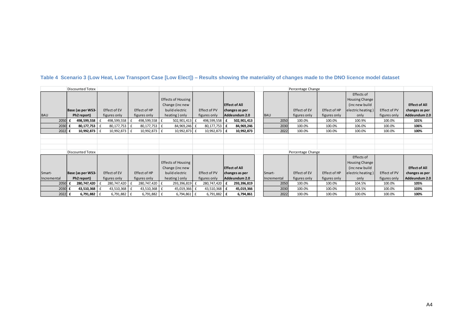|             | <b>Discounted Totex</b> |               |                    |                           |                      |                      | Percentage Change |                   |              |                   |              |                      |
|-------------|-------------------------|---------------|--------------------|---------------------------|----------------------|----------------------|-------------------|-------------------|--------------|-------------------|--------------|----------------------|
|             |                         |               |                    |                           |                      |                      |                   |                   |              | Effects of        |              |                      |
|             |                         |               |                    | Effects of Housing        |                      |                      |                   |                   |              | Housing Change    |              |                      |
|             |                         |               |                    | Change (inc new           |                      | <b>Effect of All</b> |                   |                   |              | (inc new build    |              | <b>Effect of All</b> |
|             | Base (as per WS3-       | Effect of EV  | Effect of HP       | build electric            | Effect of PV         | changes as per       |                   | Effect of EV      | Effect of HP | electric heating) | Effect of PV | changes as per       |
| <b>BAU</b>  | Ph2 report)             | figures only  | figures only       | heating) only             | figures only         | Addeundum 2.0        | <b>BAU</b>        | figures only      | figures only | only              | figures only | Addeundum 2.0        |
| 2050        | 498,599,558 £           | 498,599,558 £ | 498,599,558 £      | 502,901,413               | 498,599,558 £        | 502,901,413          | 2050              | 100.0%            | 100.0%       | 100.9%            | 100.0%       | 101%                 |
| 2030        | 80,177,753 £            | 80,177,753 £  | 80,177,753         | Ι£<br>84,969,246          | 80,177,753 £         | 84,969,246           | 2030              | 100.0%            | 100.0%       | 106.0%            | 100.0%       | 106%                 |
| 2022 £      | 10,992,873 f            | 10,992,873 £  | 10,992,873 £       | 10,992,873 £              | 10,992,873 E         | 10,992,873           | 2022              | 100.0%            | 100.0%       | 100.0%            | 100.0%       | 100%                 |
|             |                         |               |                    |                           |                      |                      |                   |                   |              |                   |              |                      |
|             |                         |               |                    |                           |                      |                      |                   |                   |              |                   |              |                      |
|             |                         |               |                    |                           |                      |                      |                   |                   |              |                   |              |                      |
|             | <b>Discounted Totex</b> |               |                    |                           |                      |                      |                   | Percentage Change |              |                   |              |                      |
|             |                         |               |                    |                           |                      |                      |                   |                   |              | Effects of        |              |                      |
|             |                         |               |                    | <b>Effects of Housing</b> |                      |                      |                   |                   |              | Housing Change    |              |                      |
|             |                         |               |                    | Change (inc new           |                      | <b>Effect of All</b> |                   |                   |              | (inc new build)   |              | <b>Effect of All</b> |
| Smart-      | Base (as per WS3-       | Effect of EV  | Effect of HP       | build electric            | Effect of PV         | changes as per       | Smart-            | Effect of EV      | Effect of HP | electric heating) | Effect of PV | changes as per       |
| Incremental | Ph2 report)             | figures only  | figures only       | heating ) only            | figures only         | Addeundum 2.0        | Incremental       | figures only      | figures only | only              | figures only | Addeundum 2.0        |
| 2050        | 280,747,420             | 280,747,420 £ | 280,747,420        | 293,396,819               | 280,747,420 £        | 293,396,819          | 2050              | 100.0%            | 100.0%       | 104.5%            | 100.0%       | 105%                 |
| 2030        | 43,510,368              | 43,510,368    | 43,510,368         | 45,019,366<br>t           | 43,510,368 £         | 45,019,366           | 2030              | 100.0%            | 100.0%       | 103.5%            | 100.0%       | 103%                 |
| 2022 £      | 6,791,882 $E$           | 6,791,882 f   | $6,791,882 \mid f$ | 6,794,861 £               | 6,791,882   $\bm{f}$ | 6,794,861            | 2022              | 100.0%            | 100.0%       | 100.0%            | 100.0%       | 100%                 |

**Table 4 Scenario 3 (Low Heat, Low Transport Case [Low Elect]) – Results showing the materiality of changes made to the DNO licence model dataset**